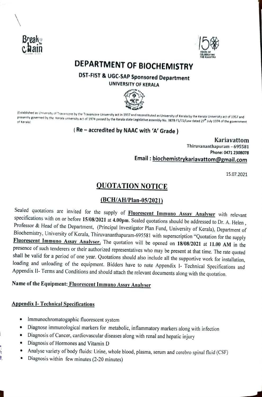



# DEPARTMENT OF BIOCHEMISTRY

DST-FIST & UGC-SAP Sponsored Department UNIVERSITY OF KERALA



(Established as University of Travancore by the Travancore University act in 1937 and reconstituted as University of Kerala by the Kerala University act of 1957 and<br>presently governed by the Kerala university act of 1974 p

### (Re-accredited by NAAC with 'A' Grade )

Kariavattom Thiruvananthapuram - 695581 Phone: 0471 2308078 Email: biochemistrykariavattom@gmail.com

15.07.2021

## QUOTATION NOTICE

#### (BCH/AH/Plan-05/2021)

Sealed quotations are invited for the supply of **Fluorescent Immuno Assay Analyser** with relevant specifications with on or before 15/08/2021 at 4.00pm. Sealed quotations should be addressed to Dr. A. Helen, Professor & He shall be valid for a period of one year. Quotations should also include all the supportive work for installation, loading and unloading of the equipment. Bidders have to note Appendix I- Technical Specifications and Appendix I1- Terms and Conditions and should attach the relevant documents along with the quotation.

#### Name of the Equipment: Fluorescent Immuno Assay Analyser

#### Appendix 1-Technical Specifications

- Immunochromatogaphic fluorescent system
- Diagnose immunological markers for metabolic, inflammatory markers along with infection
- Diagnosis of Cancer, cardiovaseular diseases along with renal and hepatic injury
- Diagnosis of Hormones and Vitamin D
- Analyse variety of body fluids: Urine, whole blood, plasma, serum and cerebro spinal fluid (cSF)  $\bullet$
- Diagnosis within few minutes (2-20 minutes)